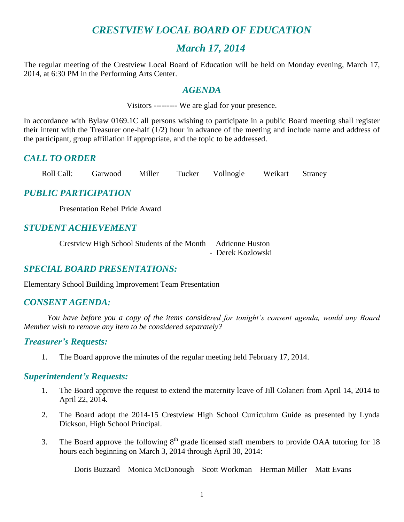# *CRESTVIEW LOCAL BOARD OF EDUCATION*

# *March 17, 2014*

The regular meeting of the Crestview Local Board of Education will be held on Monday evening, March 17, 2014, at 6:30 PM in the Performing Arts Center.

## *AGENDA*

Visitors --------- We are glad for your presence.

In accordance with Bylaw 0169.1C all persons wishing to participate in a public Board meeting shall register their intent with the Treasurer one-half (1/2) hour in advance of the meeting and include name and address of the participant, group affiliation if appropriate, and the topic to be addressed.

# *CALL TO ORDER*

Roll Call: Garwood Miller Tucker Vollnogle Weikart Straney

# *PUBLIC PARTICIPATION*

Presentation Rebel Pride Award

# *STUDENT ACHIEVEMENT*

Crestview High School Students of the Month – Adrienne Huston - Derek Kozlowski

# *SPECIAL BOARD PRESENTATIONS:*

Elementary School Building Improvement Team Presentation

# *CONSENT AGENDA:*

*You have before you a copy of the items considered for tonight's consent agenda, would any Board Member wish to remove any item to be considered separately?*

#### *Treasurer's Requests:*

1. The Board approve the minutes of the regular meeting held February 17, 2014.

#### *Superintendent's Requests:*

- 1. The Board approve the request to extend the maternity leave of Jill Colaneri from April 14, 2014 to April 22, 2014.
- 2. The Board adopt the 2014-15 Crestview High School Curriculum Guide as presented by Lynda Dickson, High School Principal.
- 3. The Board approve the following  $8<sup>th</sup>$  grade licensed staff members to provide OAA tutoring for 18 hours each beginning on March 3, 2014 through April 30, 2014:

Doris Buzzard – Monica McDonough – Scott Workman – Herman Miller – Matt Evans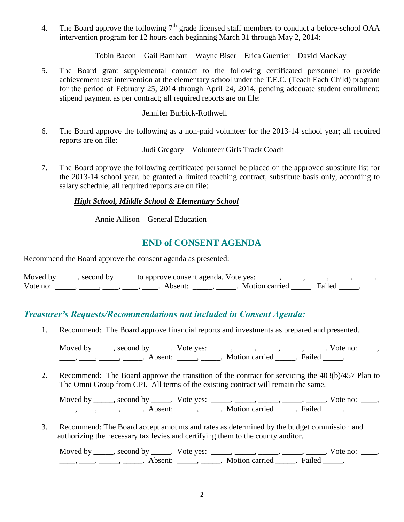4. The Board approve the following  $7<sup>th</sup>$  grade licensed staff members to conduct a before-school OAA intervention program for 12 hours each beginning March 31 through May 2, 2014:

Tobin Bacon – Gail Barnhart – Wayne Biser – Erica Guerrier – David MacKay

5. The Board grant supplemental contract to the following certificated personnel to provide achievement test intervention at the elementary school under the T.E.C. (Teach Each Child) program for the period of February 25, 2014 through April 24, 2014, pending adequate student enrollment; stipend payment as per contract; all required reports are on file:

Jennifer Burbick-Rothwell

6. The Board approve the following as a non-paid volunteer for the 2013-14 school year; all required reports are on file:

Judi Gregory – Volunteer Girls Track Coach

7. The Board approve the following certificated personnel be placed on the approved substitute list for the 2013-14 school year, be granted a limited teaching contract, substitute basis only, according to salary schedule; all required reports are on file:

#### *High School, Middle School & Elementary School*

Annie Allison – General Education

# **END of CONSENT AGENDA**

Recommend the Board approve the consent agenda as presented:

|          | Moved by ______, second by ______ to approve consent agenda. Vote yes: |                           |  |
|----------|------------------------------------------------------------------------|---------------------------|--|
| Vote no: | Absent <sup>.</sup>                                                    | . Motion carried . Failed |  |

# *Treasurer's Requests/Recommendations not included in Consent Agenda:*

1. Recommend: The Board approve financial reports and investments as prepared and presented.

Moved by \_\_\_\_\_, second by \_\_\_\_\_. Vote yes:  $\_\_\_\_\_\_\_\_\_\_\_\_\_\_\_$  \_\_\_\_\_, \_\_\_\_\_, \_\_\_\_\_. Vote no:  $\_\_\_\_\_\_\$ \_\_\_\_\_, \_\_\_\_\_\_, \_\_\_\_\_\_\_. Absent: \_\_\_\_\_\_, \_\_\_\_\_\_. Motion carried \_\_\_\_\_\_. Failed \_\_\_\_\_.

2. Recommend: The Board approve the transition of the contract for servicing the 403(b)/457 Plan to The Omni Group from CPI. All terms of the existing contract will remain the same.

Moved by \_\_\_\_\_, second by \_\_\_\_\_. Vote yes: \_\_\_\_\_, \_\_\_\_\_, \_\_\_\_\_, \_\_\_\_\_, \_\_\_\_\_. Vote no: \_\_\_\_,  $\frac{1}{\sqrt{2}}$ ,  $\frac{1}{\sqrt{2}}$ ,  $\frac{1}{\sqrt{2}}$ ,  $\frac{1}{\sqrt{2}}$ ,  $\frac{1}{\sqrt{2}}$ ,  $\frac{1}{\sqrt{2}}$ ,  $\frac{1}{\sqrt{2}}$ ,  $\frac{1}{\sqrt{2}}$ ,  $\frac{1}{\sqrt{2}}$ ,  $\frac{1}{\sqrt{2}}$ ,  $\frac{1}{\sqrt{2}}$ ,  $\frac{1}{\sqrt{2}}$ ,  $\frac{1}{\sqrt{2}}$ ,  $\frac{1}{\sqrt{2}}$ ,  $\frac{1}{\sqrt{2}}$ ,  $\frac{1}{\sqrt{2}}$ 

3. Recommend: The Board accept amounts and rates as determined by the budget commission and authorizing the necessary tax levies and certifying them to the county auditor.

Moved by \_\_\_\_\_, second by \_\_\_\_\_. Vote yes:  $\_\_\_\_\_\_\_\_\_\_\_\_\_\_\_$  \_\_\_\_\_, \_\_\_\_\_, \_\_\_\_\_. Vote no:  $\_\_\_\_\_\_\$ \_\_\_\_\_, \_\_\_\_\_\_, \_\_\_\_\_\_\_. Absent: \_\_\_\_\_\_, \_\_\_\_\_\_. Motion carried \_\_\_\_\_\_. Failed \_\_\_\_\_.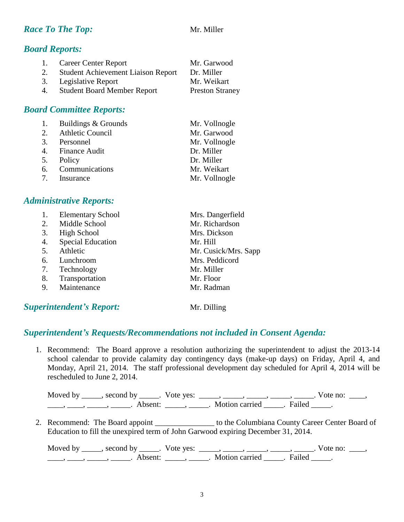## *Race To The Top:* Mr. Miller

# *Board Reports:*

| 1. | Career Center Report                      | Mr. Garwood            |
|----|-------------------------------------------|------------------------|
| 2. | <b>Student Achievement Liaison Report</b> | Dr. Miller             |
|    | 3. Legislative Report                     | Mr. Weikart            |
| 4. | <b>Student Board Member Report</b>        | <b>Preston Straney</b> |

# *Board Committee Reports:*

| 1. Buildings & Grounds | Mr. Vollnogle |
|------------------------|---------------|
| 2. Athletic Council    | Mr. Garwood   |
| 3. Personnel           | Mr. Vollnogle |
| 4. Finance Audit       | Dr. Miller    |
| 5. Policy              | Dr. Miller    |
| 6. Communications      | Mr. Weikart   |
| 7. Insurance           | Mr. Vollnogle |

### *Administrative Reports:*

|    | <b>Elementary School</b> | Mrs. Dangerfield     |
|----|--------------------------|----------------------|
| 2. | Middle School            | Mr. Richardson       |
| 3. | High School              | Mrs. Dickson         |
| 4. | <b>Special Education</b> | Mr. Hill             |
| 5. | Athletic                 | Mr. Cusick/Mrs. Sapp |
| 6. | Lunchroom                | Mrs. Peddicord       |
| 7. | Technology               | Mr. Miller           |
| 8. | Transportation           | Mr. Floor            |
| 9. | Maintenance              | Mr. Radman           |
|    |                          |                      |

# **Superintendent's Report:** Mr. Dilling

# *Superintendent's Requests/Recommendations not included in Consent Agenda:*

1. Recommend: The Board approve a resolution authorizing the superintendent to adjust the 2013-14 school calendar to provide calamity day contingency days (make-up days) on Friday, April 4, and Monday, April 21, 2014. The staff professional development day scheduled for April 4, 2014 will be rescheduled to June 2, 2014.

Moved by \_\_\_\_\_, second by \_\_\_\_\_. Vote yes: \_\_\_\_\_, \_\_\_\_\_, \_\_\_\_\_, \_\_\_\_\_, \_\_\_\_\_. Vote no: \_\_\_\_, \_\_\_\_\_, \_\_\_\_\_\_, \_\_\_\_\_\_\_. Absent: \_\_\_\_\_\_, \_\_\_\_\_\_. Motion carried \_\_\_\_\_\_. Failed \_\_\_\_\_.

2. Recommend: The Board appoint \_\_\_\_\_\_\_\_\_\_\_\_\_\_\_\_ to the Columbiana County Career Center Board of Education to fill the unexpired term of John Garwood expiring December 31, 2014.

Moved by \_\_\_\_\_, second by \_\_\_\_\_. Vote yes:  $\_\_\_\_\_\_\_\_\_\_\_\_\_\_\_$  \_\_\_\_\_, \_\_\_\_\_, \_\_\_\_\_. Vote no:  $\_\_\_\_\_\_\$ \_\_\_\_, \_\_\_\_\_, \_\_\_\_\_\_, Absent: \_\_\_\_\_, \_\_\_\_\_. Motion carried \_\_\_\_\_. Failed \_\_\_\_\_.